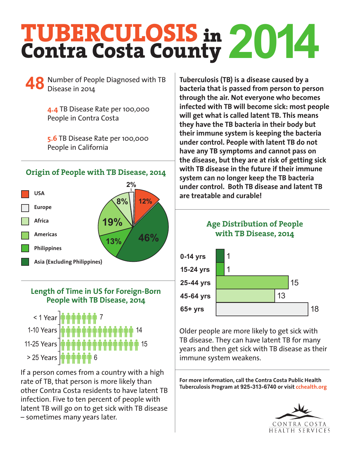# **TUBERCULOSIS** in **Contra Costa County 2014**

Number of People Diagnosed with TB **48 Tuberculosis (TB) is a disease caused by a**  Disease in 2014

**4.4** TB Disease Rate per 100,000 People in Contra Costa

**5.6** TB Disease Rate per 100,000 People in California

#### **USA Europe Africa Americas Philippines Asia (Excluding Philippines) 12% 46% 19% 8% 2% 13% Origin of People with TB Disease, 2014**

#### **Length of Time in US for Foreign-Born People with TB Disease, 2014**



If a person comes from a country with a high rate of TB, that person is more likely than other Contra Costa residents to have latent TB infection. Five to ten percent of people with latent TB will go on to get sick with TB disease – sometimes many years later.

**bacteria that is passed from person to person through the air. Not everyone who becomes infected with TB will become sick: most people will get what is called latent TB. This means they have the TB bacteria in their body but their immune system is keeping the bacteria under control. People with latent TB do not have any TB symptoms and cannot pass on the disease, but they are at risk of getting sick with TB disease in the future if their immune system can no longer keep the TB bacteria under control. Both TB disease and latent TB are treatable and curable!**





Older people are more likely to get sick with TB disease. They can have latent TB for many years and then get sick with TB disease as their immune system weakens.

**For more information, call the Contra Costa Public Health Tuberculosis Program at 925-313-6740 or visit cchealth.org**